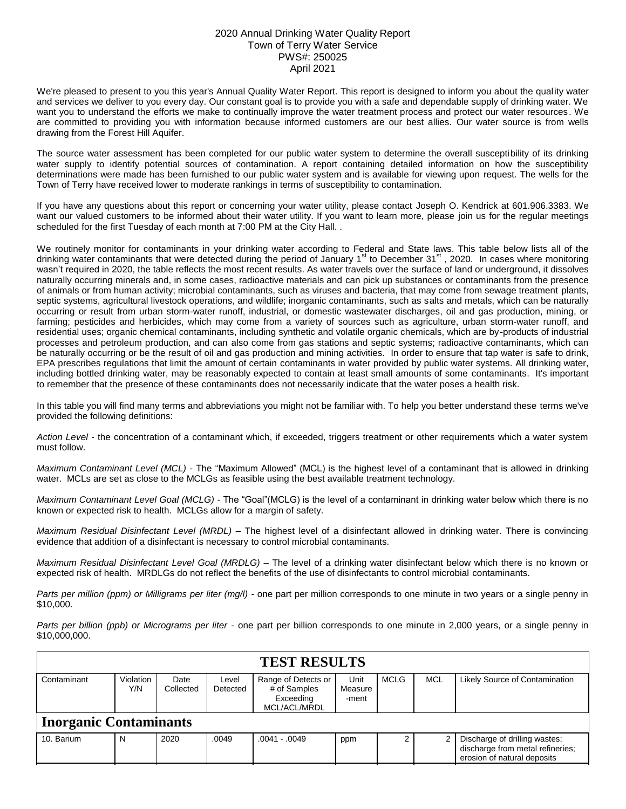## 2020 Annual Drinking Water Quality Report Town of Terry Water Service PWS#: 250025 April 2021

We're pleased to present to you this year's Annual Quality Water Report. This report is designed to inform you about the quality water and services we deliver to you every day. Our constant goal is to provide you with a safe and dependable supply of drinking water. We want you to understand the efforts we make to continually improve the water treatment process and protect our water resources. We are committed to providing you with information because informed customers are our best allies. Our water source is from wells drawing from the Forest Hill Aquifer.

The source water assessment has been completed for our public water system to determine the overall susceptibility of its drinking water supply to identify potential sources of contamination. A report containing detailed information on how the susceptibility determinations were made has been furnished to our public water system and is available for viewing upon request. The wells for the Town of Terry have received lower to moderate rankings in terms of susceptibility to contamination.

If you have any questions about this report or concerning your water utility, please contact Joseph O. Kendrick at 601.906.3383. We want our valued customers to be informed about their water utility. If you want to learn more, please join us for the regular meetings scheduled for the first Tuesday of each month at 7:00 PM at the City Hall. .

We routinely monitor for contaminants in your drinking water according to Federal and State laws. This table below lists all of the drinking water contaminants that were detected during the period of January 1<sup>st</sup> to December 31<sup>st</sup>, 2020. In cases where monitoring wasn't required in 2020, the table reflects the most recent results. As water travels over the surface of land or underground, it dissolves naturally occurring minerals and, in some cases, radioactive materials and can pick up substances or contaminants from the presence of animals or from human activity; microbial contaminants, such as viruses and bacteria, that may come from sewage treatment plants, septic systems, agricultural livestock operations, and wildlife; inorganic contaminants, such as salts and metals, which can be naturally occurring or result from urban storm-water runoff, industrial, or domestic wastewater discharges, oil and gas production, mining, or farming; pesticides and herbicides, which may come from a variety of sources such as agriculture, urban storm-water runoff, and residential uses; organic chemical contaminants, including synthetic and volatile organic chemicals, which are by-products of industrial processes and petroleum production, and can also come from gas stations and septic systems; radioactive contaminants, which can be naturally occurring or be the result of oil and gas production and mining activities. In order to ensure that tap water is safe to drink, EPA prescribes regulations that limit the amount of certain contaminants in water provided by public water systems. All drinking water, including bottled drinking water, may be reasonably expected to contain at least small amounts of some contaminants. It's important to remember that the presence of these contaminants does not necessarily indicate that the water poses a health risk.

In this table you will find many terms and abbreviations you might not be familiar with. To help you better understand these terms we've provided the following definitions:

*Action Level* - the concentration of a contaminant which, if exceeded, triggers treatment or other requirements which a water system must follow.

*Maximum Contaminant Level (MCL)* - The "Maximum Allowed" (MCL) is the highest level of a contaminant that is allowed in drinking water. MCLs are set as close to the MCLGs as feasible using the best available treatment technology.

*Maximum Contaminant Level Goal (MCLG)* - The "Goal"(MCLG) is the level of a contaminant in drinking water below which there is no known or expected risk to health. MCLGs allow for a margin of safety.

*Maximum Residual Disinfectant Level (MRDL)* – The highest level of a disinfectant allowed in drinking water. There is convincing evidence that addition of a disinfectant is necessary to control microbial contaminants.

*Maximum Residual Disinfectant Level Goal (MRDLG)* – The level of a drinking water disinfectant below which there is no known or expected risk of health. MRDLGs do not reflect the benefits of the use of disinfectants to control microbial contaminants.

*Parts per million (ppm) or Milligrams per liter (mg/l)* - one part per million corresponds to one minute in two years or a single penny in \$10,000.

*Parts per billion (ppb) or Micrograms per liter* - one part per billion corresponds to one minute in 2,000 years, or a single penny in \$10,000,000.

| <b>TEST RESULTS</b>           |                  |                                                                                     |       |                     |                          |                           |  |                                                                                                  |  |  |
|-------------------------------|------------------|-------------------------------------------------------------------------------------|-------|---------------------|--------------------------|---------------------------|--|--------------------------------------------------------------------------------------------------|--|--|
| Contaminant                   | Violation<br>Y/N | Date<br>Level<br># of Samples<br>Collected<br>Detected<br>Exceeding<br>MCL/ACL/MRDL |       | Range of Detects or | Unit<br>Measure<br>-ment | <b>MCLG</b><br><b>MCL</b> |  | Likely Source of Contamination                                                                   |  |  |
| <b>Inorganic Contaminants</b> |                  |                                                                                     |       |                     |                          |                           |  |                                                                                                  |  |  |
| 10. Barium                    | N                | 2020                                                                                | .0049 | $.0041-.0049$       | ppm                      |                           |  | Discharge of drilling wastes;<br>discharge from metal refineries;<br>erosion of natural deposits |  |  |